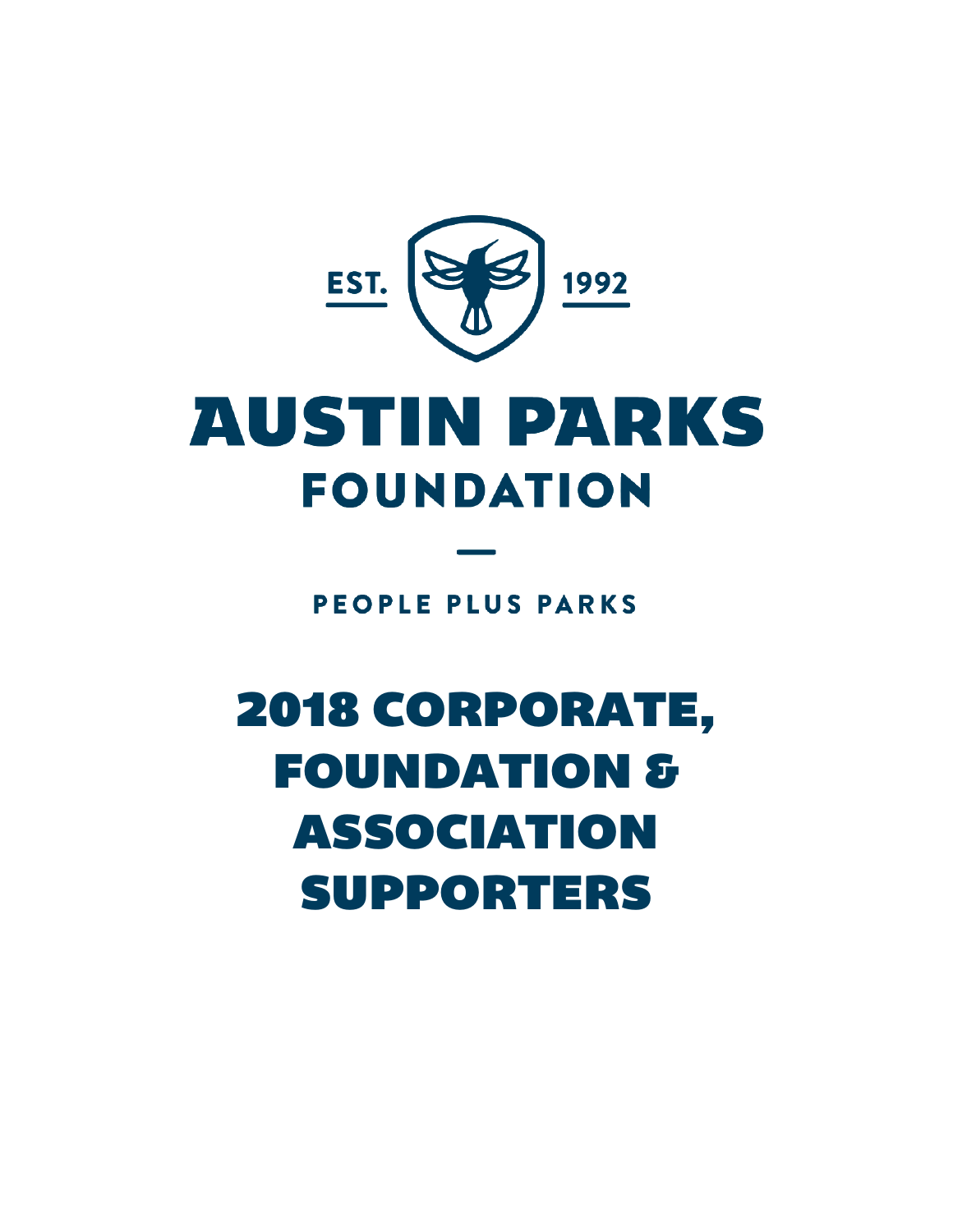

# **AUSTIN PARKS FOUNDATION**

**PEOPLE PLUS PARKS** 

# 2018 CORPORATE, FOUNDATION & ASSOCIATION SUPPORTERS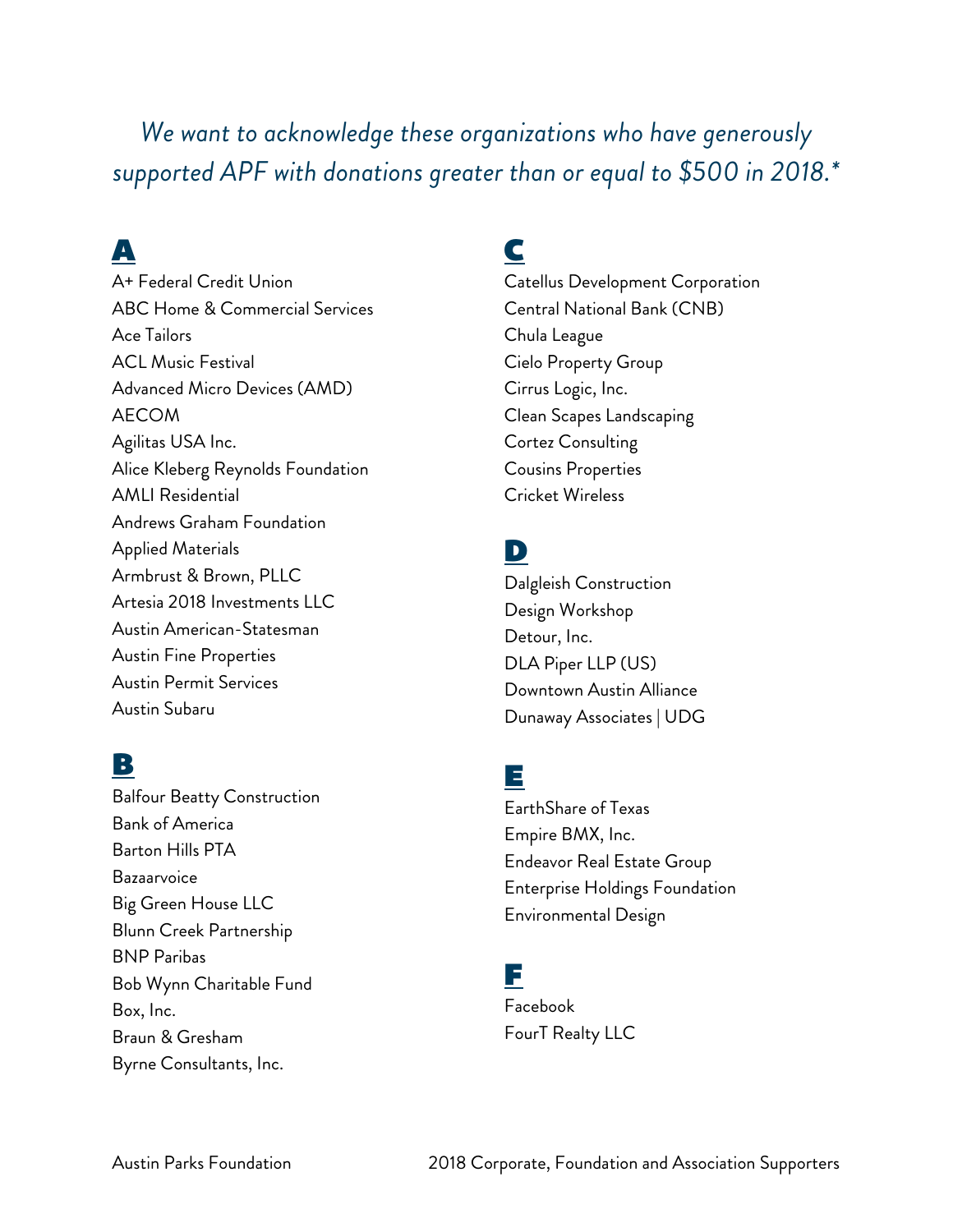*We want to acknowledge these organizations who have generously supported APF with donations greater than or equal to \$500 in 2018.\**

## A

A+ Federal Credit Union ABC Home & Commercial Services Ace Tailors ACL Music Festival Advanced Micro Devices (AMD) AECOM Agilitas USA Inc. Alice Kleberg Reynolds Foundation AMLI Residential Andrews Graham Foundation Applied Materials Armbrust & Brown, PLLC Artesia 2018 Investments LLC Austin American-Statesman Austin Fine Properties Austin Permit Services Austin Subaru

### B

Balfour Beatty Construction Bank of America Barton Hills PTA Bazaarvoice Big Green House LLC Blunn Creek Partnership BNP Paribas Bob Wynn Charitable Fund Box, Inc. Braun & Gresham Byrne Consultants, Inc.

## C

Catellus Development Corporation Central National Bank (CNB) Chula League Cielo Property Group Cirrus Logic, Inc. Clean Scapes Landscaping Cortez Consulting Cousins Properties Cricket Wireless

## D

Dalgleish Construction Design Workshop Detour, Inc. DLA Piper LLP (US) Downtown Austin Alliance Dunaway Associates | UDG

## E

EarthShare of Texas Empire BMX, Inc. Endeavor Real Estate Group Enterprise Holdings Foundation Environmental Design

#### F

Facebook FourT Realty LLC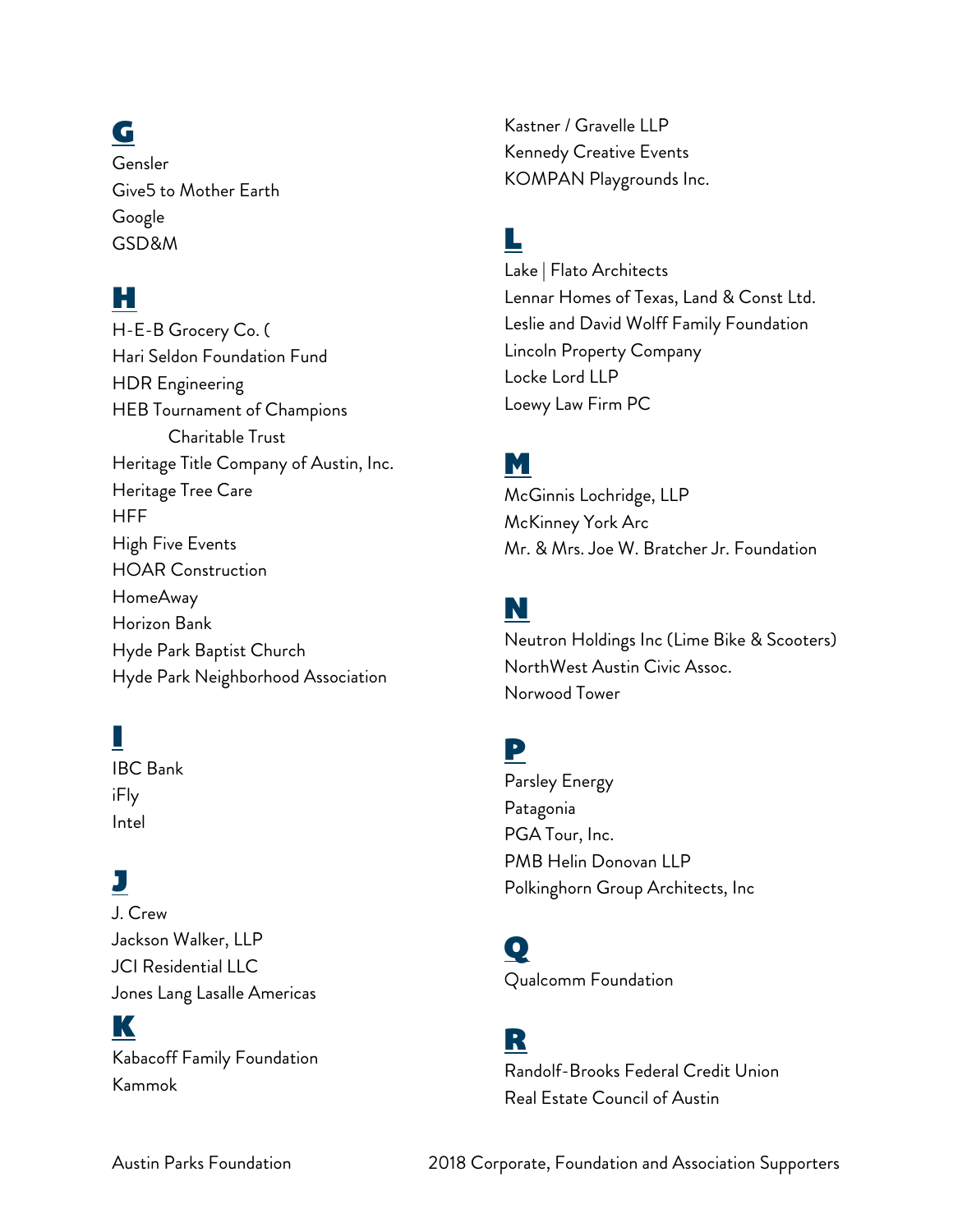# G

Gensler Give5 to Mother Earth Google GSD&M

#### H

H-E-B Grocery Co. ( Hari Seldon Foundation Fund HDR Engineering HEB Tournament of Champions Charitable Trust Heritage Title Company of Austin, Inc. Heritage Tree Care **HFF** High Five Events HOAR Construction HomeAway Horizon Bank Hyde Park Baptist Church Hyde Park Neighborhood Association

## I

IBC Bank iFly Intel

## J

J. Crew Jackson Walker, LLP JCI Residential LLC Jones Lang Lasalle Americas

#### K

Kabacoff Family Foundation Kammok

Kastner / Gravelle LLP Kennedy Creative Events KOMPAN Playgrounds Inc.

## L

Lake | Flato Architects Lennar Homes of Texas, Land & Const Ltd. Leslie and David Wolff Family Foundation Lincoln Property Company Locke Lord LLP Loewy Law Firm PC

#### M

McGinnis Lochridge, LLP McKinney York Arc Mr. & Mrs. Joe W. Bratcher Jr. Foundation

#### N

Neutron Holdings Inc (Lime Bike & Scooters) NorthWest Austin Civic Assoc. Norwood Tower

#### P

Parsley Energy Patagonia PGA Tour, Inc. PMB Helin Donovan LLP Polkinghorn Group Architects, Inc

 $\mathbf{O}$ Qualcomm Foundation

### R

Randolf-Brooks Federal Credit Union Real Estate Council of Austin

Austin Parks Foundation 2018 Corporate, Foundation and Association Supporters